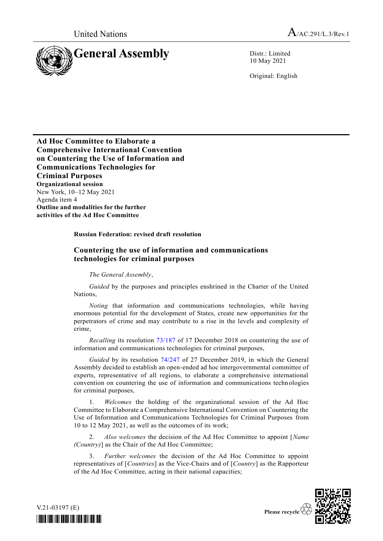United Nations  $A_{/AC.291/L.3/Rev.1}$ 



10 May 2021

Original: English

**Ad Hoc Committee to Elaborate a Comprehensive International Convention on Countering the Use of Information and Communications Technologies for Criminal Purposes Organizational session** New York, 10–12 May 2021 Agenda item 4 **Outline and modalities for the further activities of the Ad Hoc Committee**

**Russian Federation: revised draft resolution**

## **Countering the use of information and communications technologies for criminal purposes**

*The General Assembly*,

*Guided* by the purposes and principles enshrined in the Charter of the United Nations,

*Noting* that information and communications technologies, while having enormous potential for the development of States, create new opportunities for the perpetrators of crime and may contribute to a rise in the levels and complexity of crime,

*Recalling* its resolution [73/187](http://undocs.org/A/RES/73/187) of 17 December 2018 on countering the use of information and communications technologies for criminal purposes,

*Guided* by its resolution [74/247](http://undocs.org/A/RES/74/247) of 27 December 2019, in which the General Assembly decided to establish an open-ended ad hoc intergovernmental committee of experts, representative of all regions, to elaborate a comprehensive international convention on countering the use of information and communications technologies for criminal purposes,

1. *Welcomes* the holding of the organizational session of the Ad Hoc Committee to Elaborate a Comprehensive International Convention on Countering the Use of Information and Communications Technologies for Criminal Purposes from 10 to 12 May 2021, as well as the outcomes of its work;

2. *Also welcomes* the decision of the Ad Hoc Committee to appoint [*Name (Country)*] as the Chair of the Ad Hoc Committee;

3. *Further welcomes* the decision of the Ad Hoc Committee to appoint representatives of [*Countries*] as the Vice-Chairs and of [*Country*] as the Rapporteur of the Ad Hoc Committee, acting in their national capacities;